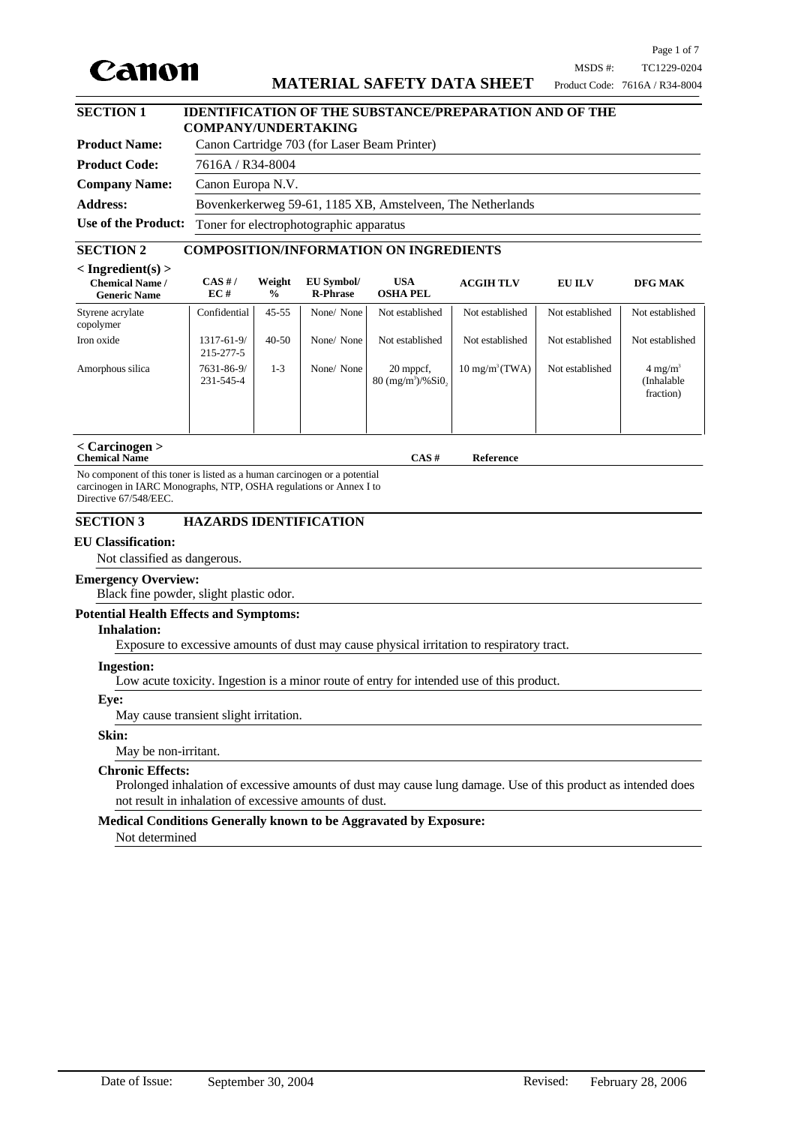

## **MATERIAL SAFETY DATA SHEET**

## **SECTION 1 IDENTIFICATION OF THE SUBSTANCE/PREPARATION AND OF THE COMPANY/UNDERTAKING**

| <b>Product Name:</b> | Canon Cartridge 703 (for Laser Beam Printer)                |  |  |
|----------------------|-------------------------------------------------------------|--|--|
| <b>Product Code:</b> | 7616A / R34-8004                                            |  |  |
| <b>Company Name:</b> | Canon Europa N.V.                                           |  |  |
| <b>Address:</b>      | Bovenkerkerweg 59-61, 1185 XB, Amstelveen, The Netherlands  |  |  |
|                      | Use of the Product: Toner for electrophotographic apparatus |  |  |

### **SECTION 2 COMPOSITION/INFORMATION ON INGREDIENTS**

| $\langle$ Ingredient(s) $>$<br><b>Chemical Name /</b><br><b>Generic Name</b> | CAS H/<br>EC#                 | Weight<br>$\frac{0}{0}$ | EU Symbol/<br><b>R-Phrase</b> | <b>USA</b><br><b>OSHA PEL</b>              | <b>ACGIH TLV</b>          | <b>EU ILV</b>   | DFG MAK                                        |
|------------------------------------------------------------------------------|-------------------------------|-------------------------|-------------------------------|--------------------------------------------|---------------------------|-----------------|------------------------------------------------|
| Styrene acrylate<br>copolymer                                                | Confidential                  | $45 - 55$               | None/None                     | Not established                            | Not established           | Not established | Not established                                |
| Iron oxide                                                                   | 1317-61-9/<br>215-277-5       | $40 - 50$               | None/None                     | Not established                            | Not established           | Not established | Not established                                |
| Amorphous silica                                                             | 7631-86-9/<br>$231 - 545 - 4$ | 1-3                     | None/None                     | 20 mppcf,<br>$80 \frac{(mg/m^3)}{96}$ Si0, | $10 \text{ mg/m}^3$ (TWA) | Not established | $4 \text{ mg/m}^3$<br>(Inhalable)<br>fraction) |

#### **< Carcinogen > Chemical Name CAS # Reference**

No component of this toner is listed as a human carcinogen or a potential carcinogen in IARC Monographs, NTP, OSHA regulations or Annex I to Directive 67/548/EEC.

## **SECTION 3 HAZARDS IDENTIFICATION**

#### **EU Classification:**

Not classified as dangerous.

## **Emergency Overview:**

Black fine powder, slight plastic odor.

#### **Potential Health Effects and Symptoms:**

#### **Inhalation:**

Exposure to excessive amounts of dust may cause physical irritation to respiratory tract.

#### **Ingestion:**

Low acute toxicity. Ingestion is a minor route of entry for intended use of this product.

# **Eye:**

May cause transient slight irritation.

#### **Skin:**

May be non-irritant.

## **Chronic Effects:**

Prolonged inhalation of excessive amounts of dust may cause lung damage. Use of this product as intended does not result in inhalation of excessive amounts of dust.

# **Medical Conditions Generally known to be Aggravated by Exposure:**

Not determined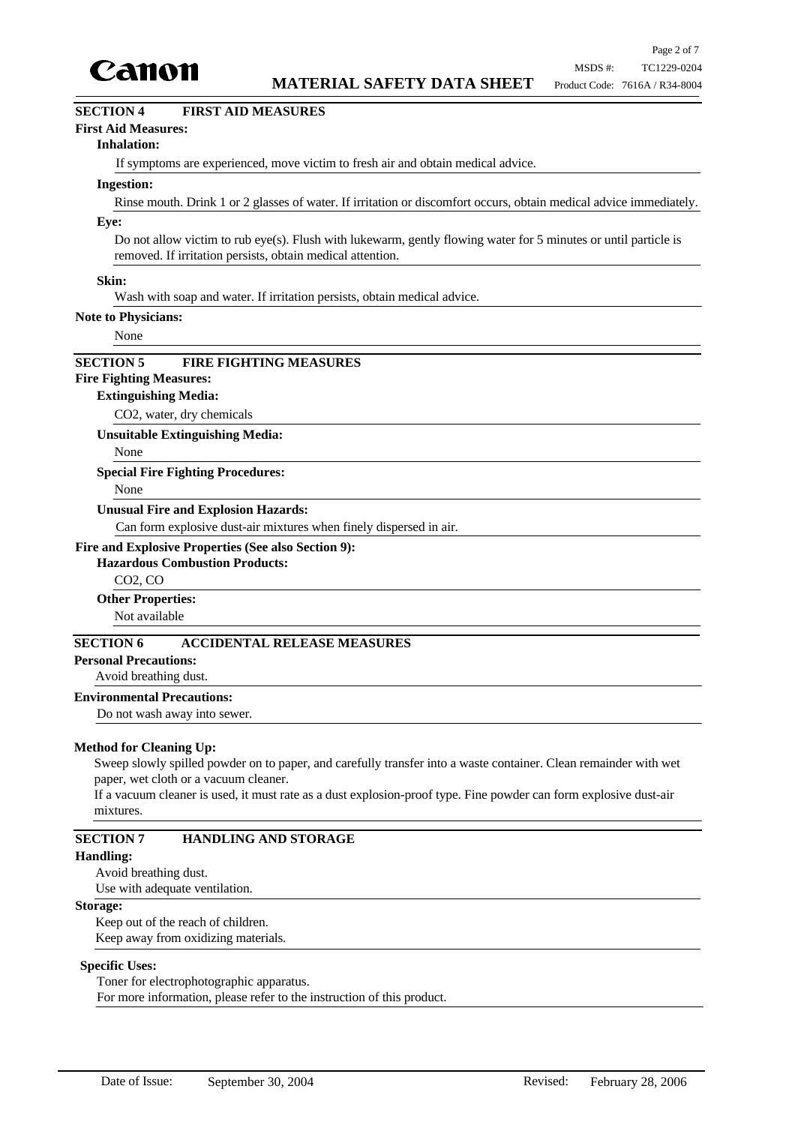

## **SECTION 4 FIRST AID MEASURES**

### **First Aid Measures:**

#### **Inhalation:**

If symptoms are experienced, move victim to fresh air and obtain medical advice.

#### **Ingestion:**

Rinse mouth. Drink 1 or 2 glasses of water. If irritation or discomfort occurs, obtain medical advice immediately.

### **Eye:**

Do not allow victim to rub eye(s). Flush with lukewarm, gently flowing water for 5 minutes or until particle is removed. If irritation persists, obtain medical attention.

#### **Skin:**

Wash with soap and water. If irritation persists, obtain medical advice.

#### **Note to Physicians:**

None

# **SECTION 5 FIRE FIGHTING MEASURES**

## **Fire Fighting Measures:**

## **Extinguishing Media:**

CO2, water, dry chemicals

**Unsuitable Extinguishing Media:**

None

#### **Special Fire Fighting Procedures:**

None

### **Unusual Fire and Explosion Hazards:**

Can form explosive dust-air mixtures when finely dispersed in air.

### **Fire and Explosive Properties (See also Section 9):**

### **Hazardous Combustion Products:**

CO2, CO

#### **Other Properties:**

Not available

## **SECTION 6 ACCIDENTAL RELEASE MEASURES**

**Personal Precautions:**

## Avoid breathing dust.

**Environmental Precautions:**

Do not wash away into sewer.

#### **Method for Cleaning Up:**

Sweep slowly spilled powder on to paper, and carefully transfer into a waste container. Clean remainder with wet paper, wet cloth or a vacuum cleaner.

If a vacuum cleaner is used, it must rate as a dust explosion-proof type. Fine powder can form explosive dust-air mixtures.

### **SECTION 7 HANDLING AND STORAGE**

### **Handling:**

Avoid breathing dust.

Use with adequate ventilation.

#### **Storage:**

Keep out of the reach of children. Keep away from oxidizing materials.

#### **Specific Uses:**

Toner for electrophotographic apparatus.

For more information, please refer to the instruction of this product.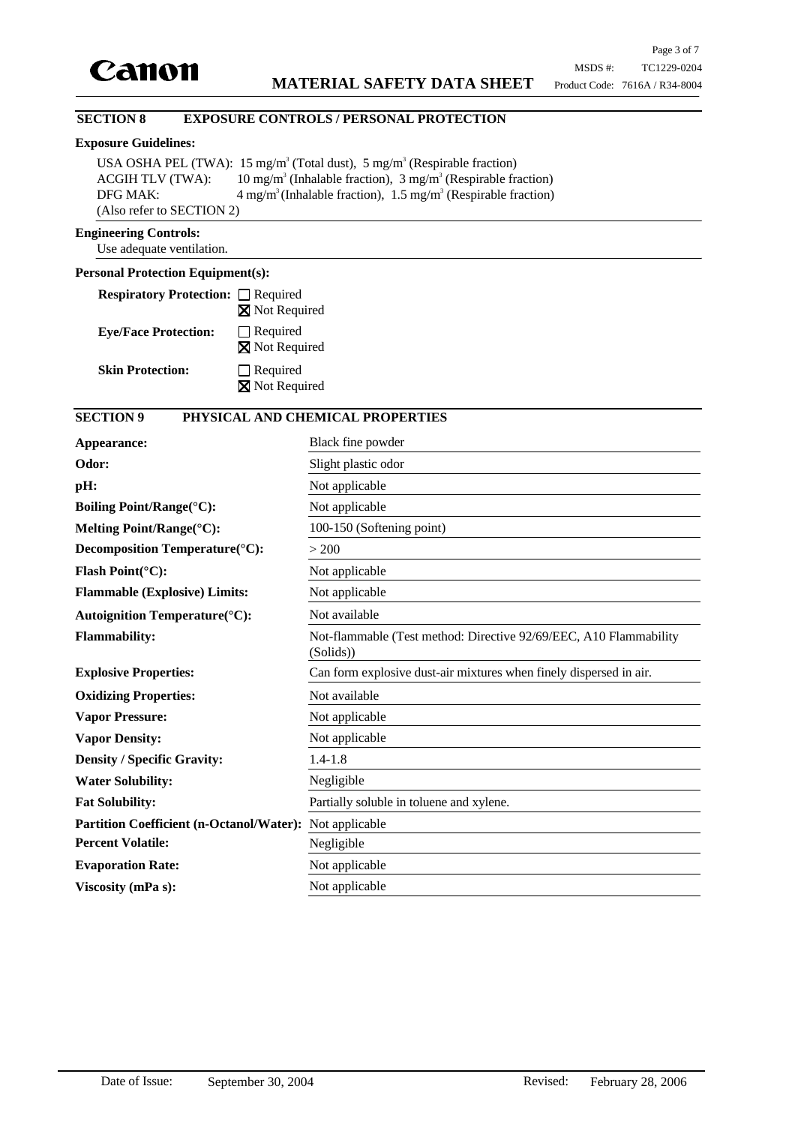

## **SECTION 8 EXPOSURE CONTROLS / PERSONAL PROTECTION**

### **Exposure Guidelines:**

USA OSHA PEL (TWA):  $15 \text{ mg/m}^3$  (Total dust),  $5 \text{ mg/m}^3$  (Respirable fraction) ACGIH TLV (TWA): (Inhalable fraction),  $3 \text{ mg/m}^3$  (Respirable fraction) DFG MAK:  $4 \text{ mg/m}^3$  (Inhalable fraction),  $1.5 \text{ mg/m}^3$  (Respirable fraction) (Also refer to SECTION 2)

### **Engineering Controls:**

Use adequate ventilation.

## **Personal Protection Equipment(s):**

| <b>Respiratory Protection:</b> □ Required |                                          |
|-------------------------------------------|------------------------------------------|
|                                           | <b>X</b> Not Required                    |
| <b>Eye/Face Protection:</b>               | $\Box$ Required<br><b>X</b> Not Required |
| <b>Skin Protection:</b>                   | $\Box$ Required<br>Not Required          |

# **SECTION 9 PHYSICAL AND CHEMICAL PROPERTIES**

| Appearance:                                     | Black fine powder                                                              |
|-------------------------------------------------|--------------------------------------------------------------------------------|
| Odor:                                           | Slight plastic odor                                                            |
| pH:                                             | Not applicable                                                                 |
| <b>Boiling Point/Range(°C):</b>                 | Not applicable                                                                 |
| Melting Point/Range(°C):                        | 100-150 (Softening point)                                                      |
| Decomposition Temperature(°C):                  | > 200                                                                          |
| Flash Point(°C):                                | Not applicable                                                                 |
| <b>Flammable (Explosive) Limits:</b>            | Not applicable                                                                 |
| <b>Autoignition Temperature</b> (°C):           | Not available                                                                  |
| <b>Flammability:</b>                            | Not-flammable (Test method: Directive 92/69/EEC, A10 Flammability<br>(Solids)) |
| <b>Explosive Properties:</b>                    | Can form explosive dust-air mixtures when finely dispersed in air.             |
| <b>Oxidizing Properties:</b>                    | Not available                                                                  |
| <b>Vapor Pressure:</b>                          | Not applicable                                                                 |
| <b>Vapor Density:</b>                           | Not applicable                                                                 |
| <b>Density / Specific Gravity:</b>              | $1.4 - 1.8$                                                                    |
| <b>Water Solubility:</b>                        | Negligible                                                                     |
| <b>Fat Solubility:</b>                          | Partially soluble in toluene and xylene.                                       |
| <b>Partition Coefficient (n-Octanol/Water):</b> | Not applicable                                                                 |
| <b>Percent Volatile:</b>                        | Negligible                                                                     |
| <b>Evaporation Rate:</b>                        | Not applicable                                                                 |
| Viscosity (mPa s):                              | Not applicable                                                                 |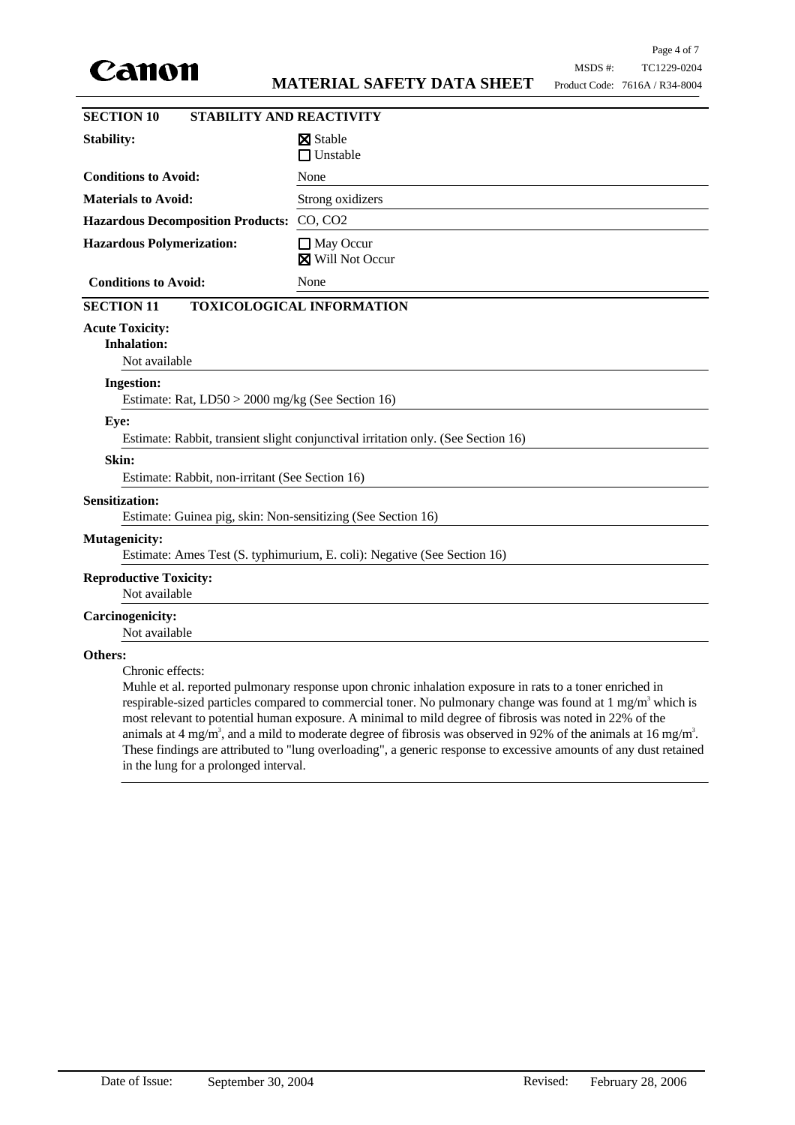

| <b>SECTION 10</b><br><b>STABILITY AND REACTIVITY</b>                                  |                                                                                                                                                                                                                                                                                                                                                                                                                                                                                                                                                                                                               |  |  |
|---------------------------------------------------------------------------------------|---------------------------------------------------------------------------------------------------------------------------------------------------------------------------------------------------------------------------------------------------------------------------------------------------------------------------------------------------------------------------------------------------------------------------------------------------------------------------------------------------------------------------------------------------------------------------------------------------------------|--|--|
| <b>Stability:</b>                                                                     | <b>X</b> Stable<br>$\Box$ Unstable                                                                                                                                                                                                                                                                                                                                                                                                                                                                                                                                                                            |  |  |
| <b>Conditions to Avoid:</b>                                                           | None                                                                                                                                                                                                                                                                                                                                                                                                                                                                                                                                                                                                          |  |  |
| <b>Materials to Avoid:</b>                                                            | Strong oxidizers                                                                                                                                                                                                                                                                                                                                                                                                                                                                                                                                                                                              |  |  |
| <b>Hazardous Decomposition Products:</b>                                              | CO, CO2                                                                                                                                                                                                                                                                                                                                                                                                                                                                                                                                                                                                       |  |  |
| <b>Hazardous Polymerization:</b>                                                      | $\Box$ May Occur<br><b>X</b> Will Not Occur                                                                                                                                                                                                                                                                                                                                                                                                                                                                                                                                                                   |  |  |
| <b>Conditions to Avoid:</b>                                                           | None                                                                                                                                                                                                                                                                                                                                                                                                                                                                                                                                                                                                          |  |  |
| <b>SECTION 11</b>                                                                     | <b>TOXICOLOGICAL INFORMATION</b>                                                                                                                                                                                                                                                                                                                                                                                                                                                                                                                                                                              |  |  |
| <b>Acute Toxicity:</b><br><b>Inhalation:</b><br>Not available                         |                                                                                                                                                                                                                                                                                                                                                                                                                                                                                                                                                                                                               |  |  |
| <b>Ingestion:</b><br>Estimate: Rat, LD50 > 2000 mg/kg (See Section 16)                |                                                                                                                                                                                                                                                                                                                                                                                                                                                                                                                                                                                                               |  |  |
| Eye:                                                                                  | Estimate: Rabbit, transient slight conjunctival irritation only. (See Section 16)                                                                                                                                                                                                                                                                                                                                                                                                                                                                                                                             |  |  |
| Skin:                                                                                 |                                                                                                                                                                                                                                                                                                                                                                                                                                                                                                                                                                                                               |  |  |
| Estimate: Rabbit, non-irritant (See Section 16)                                       |                                                                                                                                                                                                                                                                                                                                                                                                                                                                                                                                                                                                               |  |  |
| <b>Sensitization:</b><br>Estimate: Guinea pig, skin: Non-sensitizing (See Section 16) |                                                                                                                                                                                                                                                                                                                                                                                                                                                                                                                                                                                                               |  |  |
| <b>Mutagenicity:</b>                                                                  | Estimate: Ames Test (S. typhimurium, E. coli): Negative (See Section 16)                                                                                                                                                                                                                                                                                                                                                                                                                                                                                                                                      |  |  |
| <b>Reproductive Toxicity:</b><br>Not available                                        |                                                                                                                                                                                                                                                                                                                                                                                                                                                                                                                                                                                                               |  |  |
| <b>Carcinogenicity:</b><br>Not available                                              |                                                                                                                                                                                                                                                                                                                                                                                                                                                                                                                                                                                                               |  |  |
| Others:<br>Chronic effects:                                                           | Muhle et al. reported pulmonary response upon chronic inhalation exposure in rats to a toner enriched in<br>respirable-sized particles compared to commercial toner. No pulmonary change was found at 1 mg/m <sup>3</sup> which is<br>most relevant to potential human exposure. A minimal to mild degree of fibrosis was noted in 22% of the<br>animals at 4 mg/m <sup>3</sup> , and a mild to moderate degree of fibrosis was observed in 92% of the animals at 16 mg/m <sup>3</sup> .<br>These findings are attributed to "lung overloading", a generic response to excessive amounts of any dust retained |  |  |

in the lung for a prolonged interval.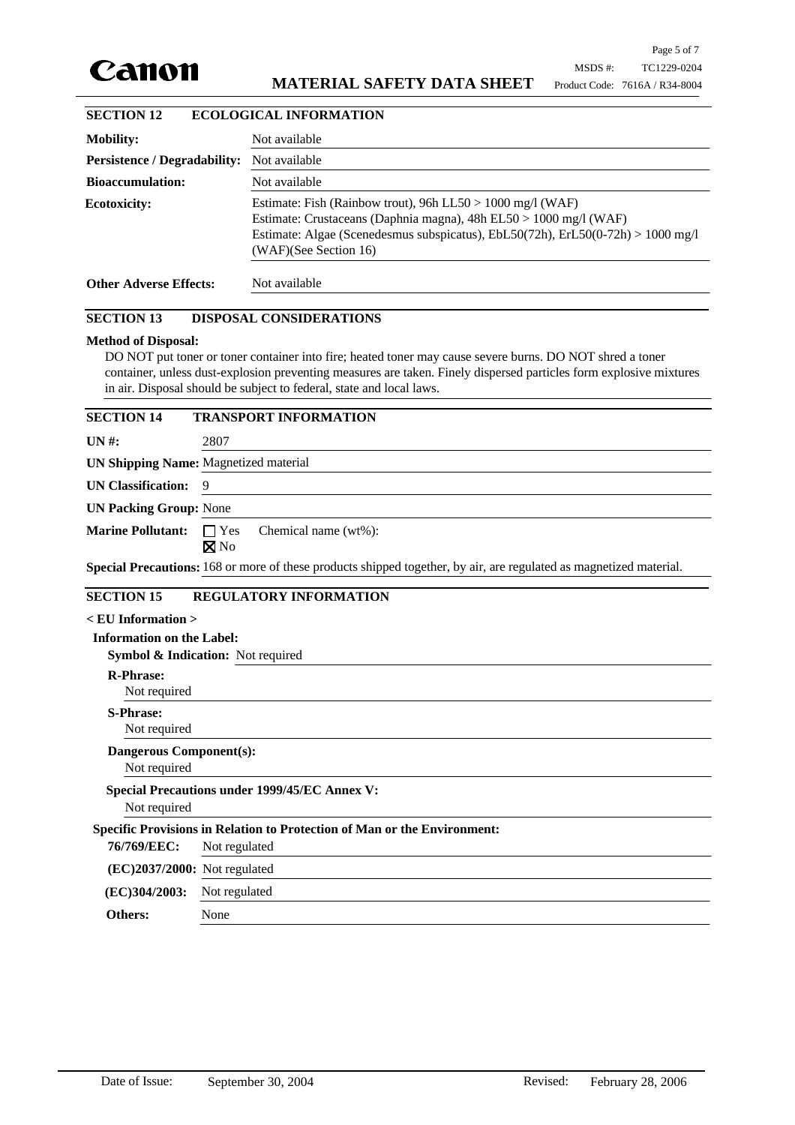

| <b>SECTION 12</b>                   | <b>ECOLOGICAL INFORMATION</b>                                                                                                                                                                                                               |  |  |
|-------------------------------------|---------------------------------------------------------------------------------------------------------------------------------------------------------------------------------------------------------------------------------------------|--|--|
| <b>Mobility:</b>                    | Not available                                                                                                                                                                                                                               |  |  |
| <b>Persistence / Degradability:</b> | Not available                                                                                                                                                                                                                               |  |  |
| <b>Bioaccumulation:</b>             | Not available                                                                                                                                                                                                                               |  |  |
| <b>Ecotoxicity:</b>                 | Estimate: Fish (Rainbow trout), 96h LL50 > 1000 mg/l (WAF)<br>Estimate: Crustaceans (Daphnia magna), 48h EL50 > 1000 mg/l (WAF)<br>Estimate: Algae (Scenedesmus subspicatus), EbL50(72h), ErL50(0-72h) > 1000 mg/l<br>(WAF)(See Section 16) |  |  |
| <b>Other Adverse Effects:</b>       | Not available                                                                                                                                                                                                                               |  |  |

## **SECTION 13 DISPOSAL CONSIDERATIONS**

#### **Method of Disposal:**

DO NOT put toner or toner container into fire; heated toner may cause severe burns. DO NOT shred a toner container, unless dust-explosion preventing measures are taken. Finely dispersed particles form explosive mixtures in air. Disposal should be subject to federal, state and local laws.

| <b>SECTION 14</b>                                                    | <b>TRANSPORT INFORMATION</b>                                                                                       |  |  |
|----------------------------------------------------------------------|--------------------------------------------------------------------------------------------------------------------|--|--|
| $UN#$ :                                                              | 2807                                                                                                               |  |  |
| <b>UN Shipping Name: Magnetized material</b>                         |                                                                                                                    |  |  |
| <b>UN Classification:</b>                                            | 9                                                                                                                  |  |  |
| <b>UN Packing Group: None</b>                                        |                                                                                                                    |  |  |
| <b>Marine Pollutant:</b>                                             | $\Box$ Yes<br>Chemical name (wt%):<br>$\boxtimes$ No                                                               |  |  |
|                                                                      | Special Precautions: 168 or more of these products shipped together, by air, are regulated as magnetized material. |  |  |
| <b>SECTION 15</b>                                                    | <b>REGULATORY INFORMATION</b>                                                                                      |  |  |
| $\rm <$ EU Information $>$                                           |                                                                                                                    |  |  |
| <b>Information on the Label:</b>                                     |                                                                                                                    |  |  |
|                                                                      | Symbol & Indication: Not required                                                                                  |  |  |
| <b>R-Phrase:</b><br>Not required                                     |                                                                                                                    |  |  |
| <b>S-Phrase:</b><br>Not required                                     |                                                                                                                    |  |  |
| <b>Dangerous Component(s):</b><br>Not required                       |                                                                                                                    |  |  |
| <b>Special Precautions under 1999/45/EC Annex V:</b><br>Not required |                                                                                                                    |  |  |
|                                                                      | Specific Provisions in Relation to Protection of Man or the Environment:                                           |  |  |
| 76/769/EEC:                                                          | Not regulated                                                                                                      |  |  |
| $(EC)2037/2000$ : Not regulated                                      |                                                                                                                    |  |  |
| (EC)304/2003:                                                        | Not regulated                                                                                                      |  |  |
| Others:                                                              | None                                                                                                               |  |  |
|                                                                      |                                                                                                                    |  |  |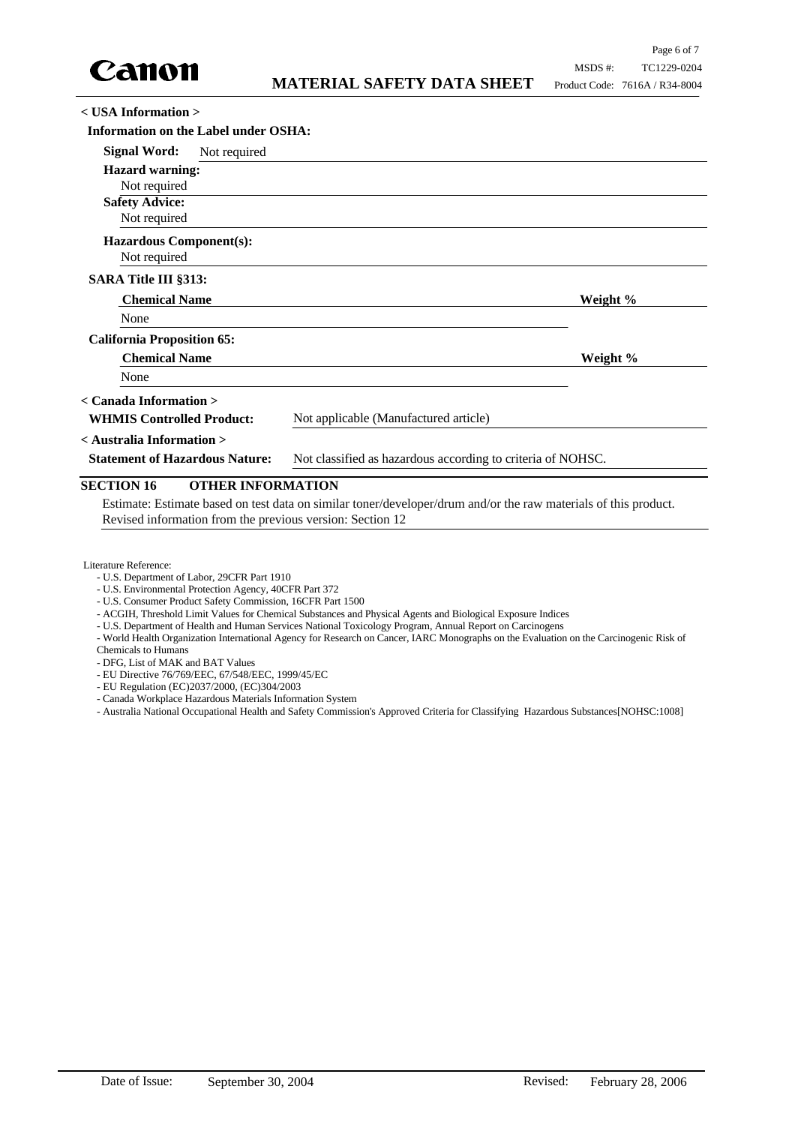

#### **< USA Information >**

| <b>Information on the Label under OSHA:</b> |                                                                                                      |                                       |          |
|---------------------------------------------|------------------------------------------------------------------------------------------------------|---------------------------------------|----------|
| <b>Signal Word:</b>                         | Not required                                                                                         |                                       |          |
| <b>Hazard warning:</b>                      |                                                                                                      |                                       |          |
| Not required                                |                                                                                                      |                                       |          |
| <b>Safety Advice:</b>                       |                                                                                                      |                                       |          |
| Not required                                |                                                                                                      |                                       |          |
| <b>Hazardous Component(s):</b>              |                                                                                                      |                                       |          |
| Not required                                |                                                                                                      |                                       |          |
| <b>SARA Title III §313:</b>                 |                                                                                                      |                                       |          |
| <b>Chemical Name</b>                        |                                                                                                      |                                       | Weight % |
| None                                        |                                                                                                      |                                       |          |
| <b>California Proposition 65:</b>           |                                                                                                      |                                       |          |
| <b>Chemical Name</b>                        |                                                                                                      |                                       | Weight % |
| None                                        |                                                                                                      |                                       |          |
| < Canada Information >                      |                                                                                                      |                                       |          |
| <b>WHMIS Controlled Product:</b>            |                                                                                                      | Not applicable (Manufactured article) |          |
| < Australia Information >                   |                                                                                                      |                                       |          |
|                                             | Not classified as hazardous according to criteria of NOHSC.<br><b>Statement of Hazardous Nature:</b> |                                       |          |
|                                             |                                                                                                      |                                       |          |

# **SECTION 16 OTHER INFORMATION**

Estimate: Estimate based on test data on similar toner/developer/drum and/or the raw materials of this product. Revised information from the previous version: Section 12

Literature Reference:

- U.S. Department of Labor, 29CFR Part 1910
- U.S. Environmental Protection Agency, 40CFR Part 372
- U.S. Consumer Product Safety Commission, 16CFR Part 1500
- ACGIH, Threshold Limit Values for Chemical Substances and Physical Agents and Biological Exposure Indices
- U.S. Department of Health and Human Services National Toxicology Program, Annual Report on Carcinogens
- World Health Organization International Agency for Research on Cancer, IARC Monographs on the Evaluation on the Carcinogenic Risk of Chemicals to Humans
- DFG, List of MAK and BAT Values
- EU Directive 76/769/EEC, 67/548/EEC, 1999/45/EC
- EU Regulation (EC)2037/2000, (EC)304/2003
- Canada Workplace Hazardous Materials Information System

- Australia National Occupational Health and Safety Commission's Approved Criteria for Classifying Hazardous Substances[NOHSC:1008]